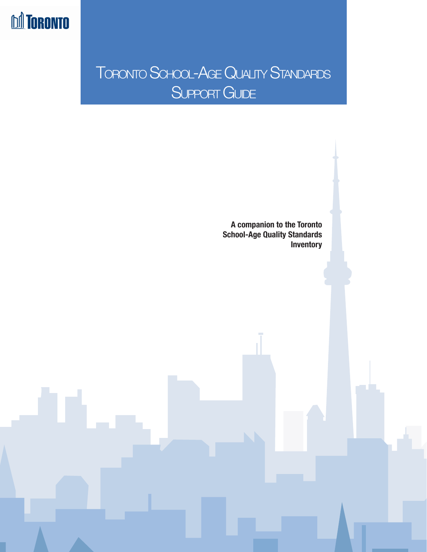

# Toronto School-Age Quality Standards Support Guide

**A companion to the Toronto School-Age Quality Standards Inventory**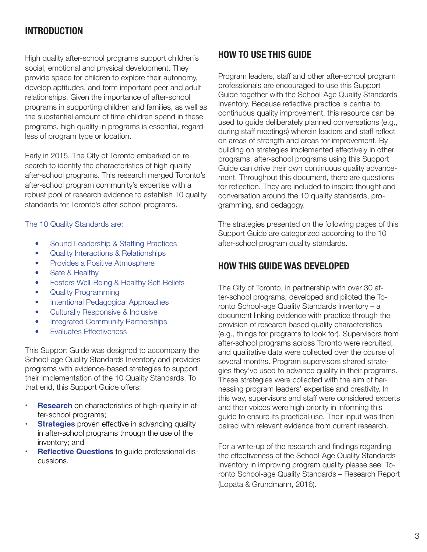### **INTRODUCTION**

High quality after-school programs support children's social, emotional and physical development. They provide space for children to explore their autonomy, develop aptitudes, and form important peer and adult relationships. Given the importance of after-school programs in supporting children and families, as well as the substantial amount of time children spend in these programs, high quality in programs is essential, regardless of program type or location.

Early in 2015, The City of Toronto embarked on research to identify the characteristics of high quality after-school programs. This research merged Toronto's after-school program community's expertise with a robust pool of research evidence to establish 10 quality standards for Toronto's after-school programs.

The 10 Quality Standards are:

- Sound Leadership & Staffing Practices
- Quality Interactions & Relationships
- Provides a Positive Atmosphere
- Safe & Healthy
- Fosters Well-Being & Healthy Self-Beliefs
- **Quality Programming**
- Intentional Pedagogical Approaches
- Culturally Responsive & Inclusive
- Integrated Community Partnerships
- **Fyaluates Effectiveness**

This Support Guide was designed to accompany the School-age Quality Standards Inventory and provides programs with evidence-based strategies to support their implementation of the 10 Quality Standards. To that end, this Support Guide offers:

- **• Research** on characteristics of high-quality in after-school programs;
- **• Strategies** proven effective in advancing quality in after-school programs through the use of the inventory; and
- **• Reflective Questions** to guide professional discussions.

### **HOW TO USE THIS GUIDE**

Program leaders, staff and other after-school program professionals are encouraged to use this Support Guide together with the School-Age Quality Standards Inventory. Because reflective practice is central to continuous quality improvement, this resource can be used to guide deliberately planned conversations (e.g., during staff meetings) wherein leaders and staff reflect on areas of strength and areas for improvement. By building on strategies implemented effectively in other programs, after-school programs using this Support Guide can drive their own continuous quality advancement. Throughout this document, there are questions for reflection. They are included to inspire thought and conversation around the 10 quality standards, programming, and pedagogy.

The strategies presented on the following pages of this Support Guide are categorized according to the 10 after-school program quality standards.

### **HOW THIS GUIDE WAS DEVELOPED**

The City of Toronto, in partnership with over 30 after-school programs, developed and piloted the Toronto School-age Quality Standards Inventory – a document linking evidence with practice through the provision of research based quality characteristics (e.g., things for programs to look for). Supervisors from after-school programs across Toronto were recruited, and qualitative data were collected over the course of several months. Program supervisors shared strategies they've used to advance quality in their programs. These strategies were collected with the aim of harnessing program leaders' expertise and creativity. In this way, supervisors and staff were considered experts and their voices were high priority in informing this guide to ensure its practical use. Their input was then paired with relevant evidence from current research.

For a write-up of the research and findings regarding the effectiveness of the School-Age Quality Standards Inventory in improving program quality please see: Toronto School-age Quality Standards – Research Report (Lopata & Grundmann, 2016).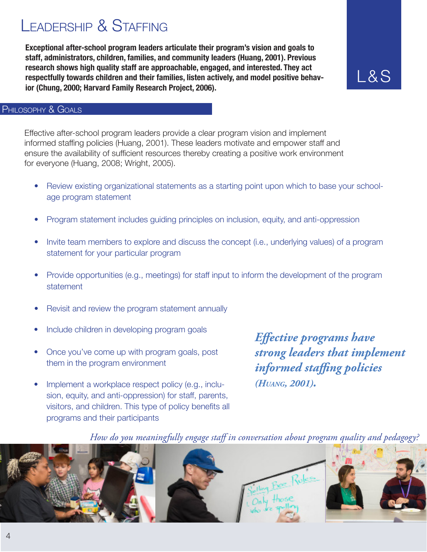## Leadership & Staffing

**Exceptional after-school program leaders articulate their program's vision and goals to staff, administrators, children, families, and community leaders (Huang, 2001). Previous research shows high quality staff are approachable, engaged, and interested. They act respectfully towards children and their families, listen actively, and model positive behavior (Chung, 2000; Harvard Family Research Project, 2006).**

L & S

#### PHILOSOPHY & GOALS

Effective after-school program leaders provide a clear program vision and implement informed staffing policies (Huang, 2001). These leaders motivate and empower staff and ensure the availability of sufficient resources thereby creating a positive work environment for everyone (Huang, 2008; Wright, 2005).

- Review existing organizational statements as a starting point upon which to base your schoolage program statement
- Program statement includes guiding principles on inclusion, equity, and anti-oppression
- Invite team members to explore and discuss the concept (i.e., underlying values) of a program statement for your particular program
- Provide opportunities (e.g., meetings) for staff input to inform the development of the program statement
- Revisit and review the program statement annually
- Include children in developing program goals
- Once you've come up with program goals, post them in the program environment
- Implement a workplace respect policy (e.g., inclusion, equity, and anti-oppression) for staff, parents, visitors, and children. This type of policy benefits all programs and their participants

*Effective programs have strong leaders that implement informed staffing policies (Huang, 2001).*

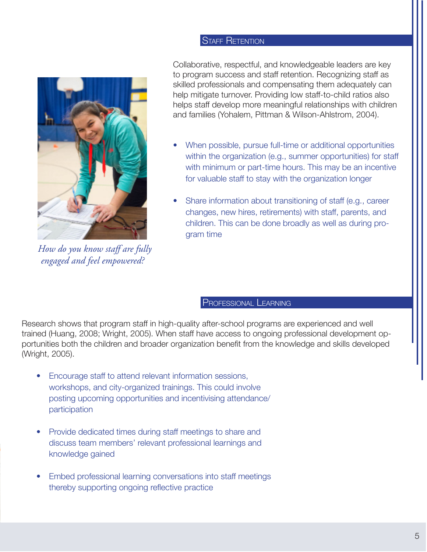#### **STAFF RETENTION**



 *How do you know staff are fully engaged and feel empowered?*

Collaborative, respectful, and knowledgeable leaders are key to program success and staff retention. Recognizing staff as skilled professionals and compensating them adequately can help mitigate turnover. Providing low staff-to-child ratios also helps staff develop more meaningful relationships with children and families (Yohalem, Pittman & Wilson-Ahlstrom, 2004).

- When possible, pursue full-time or additional opportunities within the organization (e.g., summer opportunities) for staff with minimum or part-time hours. This may be an incentive for valuable staff to stay with the organization longer
- Share information about transitioning of staff (e.g., career changes, new hires, retirements) with staff, parents, and children. This can be done broadly as well as during program time

#### Professional Learning

Research shows that program staff in high-quality after-school programs are experienced and well trained (Huang, 2008; Wright, 2005). When staff have access to ongoing professional development opportunities both the children and broader organization benefit from the knowledge and skills developed (Wright, 2005).

- Encourage staff to attend relevant information sessions, workshops, and city-organized trainings. This could involve posting upcoming opportunities and incentivising attendance/ participation
- Provide dedicated times during staff meetings to share and discuss team members' relevant professional learnings and knowledge gained
- Embed professional learning conversations into staff meetings thereby supporting ongoing reflective practice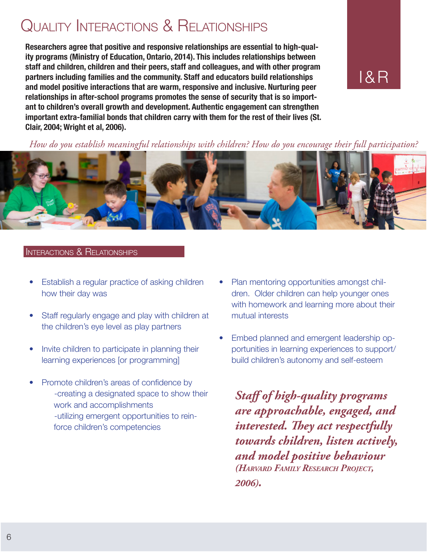# QUALITY INTERACTIONS & RELATIONSHIPS

**Researchers agree that positive and responsive relationships are essential to high-quality programs (Ministry of Education, Ontario, 2014). This includes relationships between staff and children, children and their peers, staff and colleagues, and with other program partners including families and the community. Staff and educators build relationships and model positive interactions that are warm, responsive and inclusive. Nurturing peer relationships in after-school programs promotes the sense of security that is so important to children's overall growth and development. Authentic engagement can strengthen important extra-familial bonds that children carry with them for the rest of their lives (St. Clair, 2004; Wright et al, 2006).**



### *How do you establish meaningful relationships with children? How do you encourage their full participation?*



#### Interactions & Relationships

- Establish a regular practice of asking children how their day was
- Staff regularly engage and play with children at the children's eye level as play partners
- Invite children to participate in planning their learning experiences [or programming]
- Promote children's areas of confidence by -creating a designated space to show their work and accomplishments -utilizing emergent opportunities to reinforce children's competencies
- Plan mentoring opportunities amongst children. Older children can help younger ones with homework and learning more about their mutual interests
- Embed planned and emergent leadership opportunities in learning experiences to support/ build children's autonomy and self-esteem

*Staff of high-quality programs are approachable, engaged, and interested. They act respectfully towards children, listen actively, and model positive behaviour (Harvard Family Research Project, 2006).*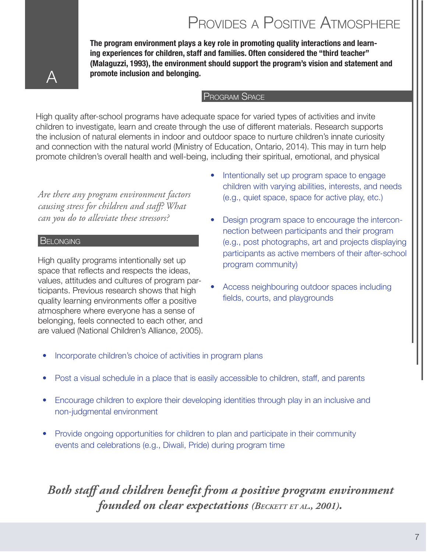# Provides <sup>a</sup> Positive Atmosphere

**The program environment plays a key role in promoting quality interactions and learning experiences for children, staff and families. Often considered the "third teacher" (Malaguzzi, 1993), the environment should support the program's vision and statement and promote inclusion and belonging.**

#### Program Space

High quality after-school programs have adequate space for varied types of activities and invite children to investigate, learn and create through the use of different materials. Research supports the inclusion of natural elements in indoor and outdoor space to nurture children's innate curiosity and connection with the natural world (Ministry of Education, Ontario, 2014). This may in turn help promote children's overall health and well-being, including their spiritual, emotional, and physical

*Are there any program environment factors causing stress for children and staff? What can you do to alleviate these stressors?*

#### **BELONGING**

 $\Delta$ 

High quality programs intentionally set up space that reflects and respects the ideas, values, attitudes and cultures of program participants. Previous research shows that high quality learning environments offer a positive atmosphere where everyone has a sense of belonging, feels connected to each other, and are valued (National Children's Alliance, 2005).

- Intentionally set up program space to engage children with varying abilities, interests, and needs (e.g., quiet space, space for active play, etc.)
- Design program space to encourage the interconnection between participants and their program (e.g., post photographs, art and projects displaying participants as active members of their after-school program community)
- Access neighbouring outdoor spaces including fields, courts, and playgrounds
- Incorporate children's choice of activities in program plans
- Post a visual schedule in a place that is easily accessible to children, staff, and parents
- Encourage children to explore their developing identities through play in an inclusive and non-judgmental environment
- Provide ongoing opportunities for children to plan and participate in their community events and celebrations (e.g., Diwali, Pride) during program time

### *Both staff and children benefit from a positive program environment founded on clear expectations (BECKETT ET AL., 2001).*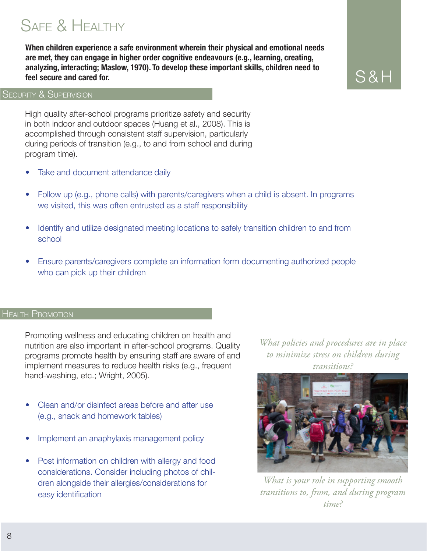# SAFF & HFAITHY

**When children experience a safe environment wherein their physical and emotional needs are met, they can engage in higher order cognitive endeavours (e.g., learning, creating, analyzing, interacting; Maslow, 1970). To develop these important skills, children need to feel secure and cared for.**  $S \otimes H$ 

#### SECURITY & SUPERVISION

High quality after-school programs prioritize safety and security in both indoor and outdoor spaces (Huang et al., 2008). This is accomplished through consistent staff supervision, particularly during periods of transition (e.g., to and from school and during program time).

- Take and document attendance daily
- Follow up (e.g., phone calls) with parents/caregivers when a child is absent. In programs we visited, this was often entrusted as a staff responsibility
- Identify and utilize designated meeting locations to safely transition children to and from school
- Ensure parents/caregivers complete an information form documenting authorized people who can pick up their children

#### Health Promotion

Promoting wellness and educating children on health and nutrition are also important in after-school programs. Quality programs promote health by ensuring staff are aware of and implement measures to reduce health risks (e.g., frequent hand-washing, etc.; Wright, 2005).

- Clean and/or disinfect areas before and after use (e.g., snack and homework tables)
- Implement an anaphylaxis management policy
- Post information on children with allergy and food considerations. Consider including photos of children alongside their allergies/considerations for easy identification

*What policies and procedures are in place to minimize stress on children during transitions?* 



*What is your role in supporting smooth transitions to, from, and during program time?*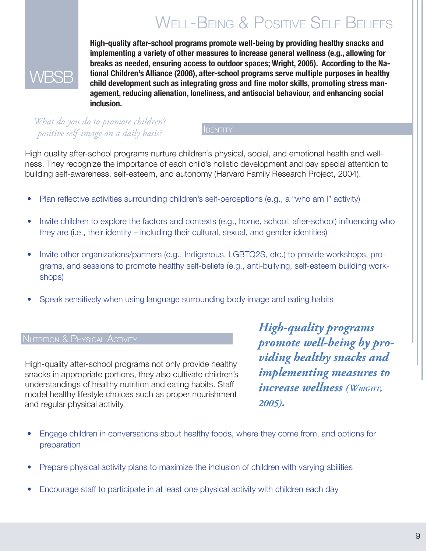# Well-Being & Positive Self Beliefs



**High-quality after-school programs promote well-being by providing healthy snacks and implementing a variety of other measures to increase general wellness (e.g., allowing for breaks as needed, ensuring access to outdoor spaces; Wright, 2005). According to the National Children's Alliance (2006), after-school programs serve multiple purposes in healthy child development such as integrating gross and fine motor skills, promoting stress management, reducing alienation, loneliness, and antisocial behaviour, and enhancing social inclusion.**

### *What do you do to promote children's positive self-image on a daily basis?*

**IDENTITY** 

High quality after-school programs nurture children's physical, social, and emotional health and wellness. They recognize the importance of each child's holistic development and pay special attention to building self-awareness, self-esteem, and autonomy (Harvard Family Research Project, 2004).

- Plan reflective activities surrounding children's self-perceptions (e.g., a "who am I" activity)
- Invite children to explore the factors and contexts (e.g., home, school, after-school) influencing who they are (i.e., their identity – including their cultural, sexual, and gender identities)
- Invite other organizations/partners (e.g., Indigenous, LGBTQ2S, etc.) to provide workshops, programs, and sessions to promote healthy self-beliefs (e.g., anti-bullying, self-esteem building workshops)
- Speak sensitively when using language surrounding body image and eating habits

#### NUTRITION & PHYSICAL ACTIVITY

High-quality after-school programs not only provide healthy snacks in appropriate portions, they also cultivate children's understandings of healthy nutrition and eating habits. Staff model healthy lifestyle choices such as proper nourishment and regular physical activity.

*High-quality programs promote well-being by providing healthy snacks and implementing measures to increase wellness (Wright, 2005).*

- Engage children in conversations about healthy foods, where they come from, and options for preparation
- Prepare physical activity plans to maximize the inclusion of children with varying abilities
- Encourage staff to participate in at least one physical activity with children each day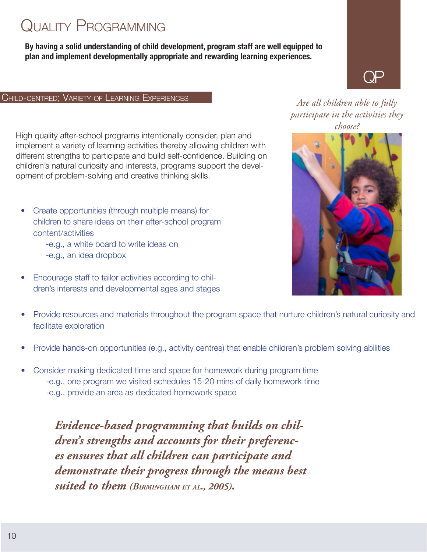# QUALITY PROGRAMMING

**By having a solid understanding of child development, program staff are well equipped to plan and implement developmentally appropriate and rewarding learning experiences.**

### Child-centred; Variety of Learning Experiences

High quality after-school programs intentionally consider, plan and implement a variety of learning activities thereby allowing children with different strengths to participate and build self-confidence. Building on children's natural curiosity and interests, programs support the development of problem-solving and creative thinking skills.

• Create opportunities (through multiple means) for children to share ideas on their after-school program content/activities

> -e.g., a white board to write ideas on -e.g., an idea dropbox

• Encourage staff to tailor activities according to children's interests and developmental ages and stages



QP



- Provide resources and materials throughout the program space that nurture children's natural curiosity and facilitate exploration
- Provide hands-on opportunities (e.g., activity centres) that enable children's problem solving abilities
- Consider making dedicated time and space for homework during program time -e.g., one program we visited schedules 15-20 mins of daily homework time -e.g., provide an area as dedicated homework space

*Evidence-based programming that builds on children's strengths and accounts for their preferences ensures that all children can participate and demonstrate their progress through the means best suited to them (Birmingham et al., 2005).*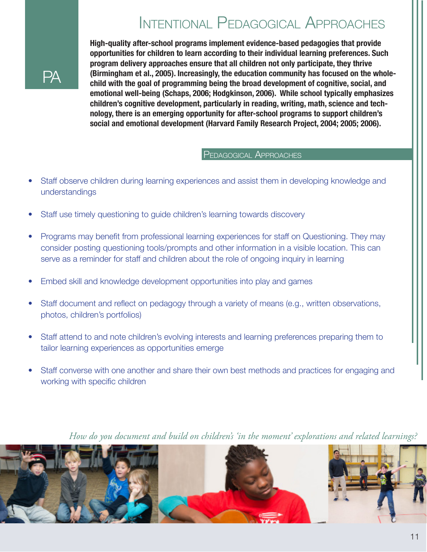### Intentional Pedagogical Approaches



**High-quality after-school programs implement evidence-based pedagogies that provide opportunities for children to learn according to their individual learning preferences. Such program delivery approaches ensure that all children not only participate, they thrive (Birmingham et al., 2005). Increasingly, the education community has focused on the wholechild with the goal of programming being the broad development of cognitive, social, and emotional well-being (Schaps, 2006; Hodgkinson, 2006). While school typically emphasizes children's cognitive development, particularly in reading, writing, math, science and technology, there is an emerging opportunity for after-school programs to support children's social and emotional development (Harvard Family Research Project, 2004; 2005; 2006).**

#### Pedagogical Approaches

- Staff observe children during learning experiences and assist them in developing knowledge and understandings
- Staff use timely questioning to guide children's learning towards discovery
- Programs may benefit from professional learning experiences for staff on Questioning. They may consider posting questioning tools/prompts and other information in a visible location. This can serve as a reminder for staff and children about the role of ongoing inquiry in learning
- Embed skill and knowledge development opportunities into play and games
- Staff document and reflect on pedagogy through a variety of means (e.g., written observations, photos, children's portfolios)
- Staff attend to and note children's evolving interests and learning preferences preparing them to tailor learning experiences as opportunities emerge
- Staff converse with one another and share their own best methods and practices for engaging and working with specific children

*How do you document and build on children's 'in the moment' explorations and related learnings?*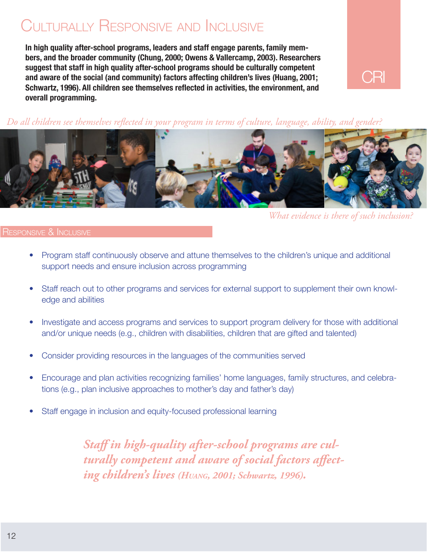# CULTURALLY RESPONSIVE AND INCLUSIVE

**In high quality after-school programs, leaders and staff engage parents, family members, and the broader community (Chung, 2000; Owens & Vallercamp, 2003). Researchers suggest that staff in high quality after-school programs should be culturally competent and aware of the social (and community) factors affecting children's lives (Huang, 2001; Schwartz, 1996). All children see themselves reflected in activities, the environment, and overall programming.**

### *Do all children see themselves reflected in your program in terms of culture, language, ability, and gender?*



*What evidence is there of such inclusion?*

CRI

### Responsive & Inclusive

- Program staff continuously observe and attune themselves to the children's unique and additional support needs and ensure inclusion across programming
- Staff reach out to other programs and services for external support to supplement their own knowledge and abilities
- Investigate and access programs and services to support program delivery for those with additional and/or unique needs (e.g., children with disabilities, children that are gifted and talented)
- Consider providing resources in the languages of the communities served
- Encourage and plan activities recognizing families' home languages, family structures, and celebrations (e.g., plan inclusive approaches to mother's day and father's day)
- Staff engage in inclusion and equity-focused professional learning

*Staff in high-quality after-school programs are culturally competent and aware of social factors affecting children's lives (Huang, 2001; Schwartz, 1996).*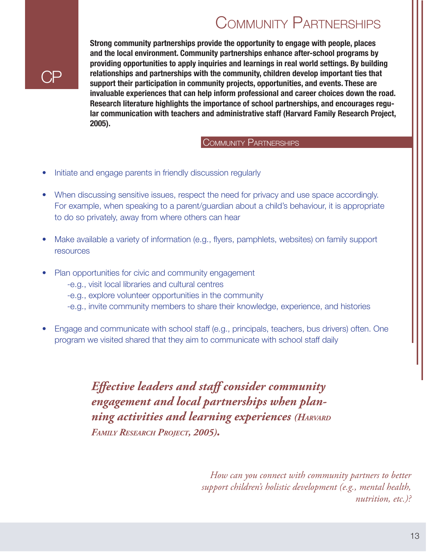### Community Partnerships



**Strong community partnerships provide the opportunity to engage with people, places and the local environment. Community partnerships enhance after-school programs by providing opportunities to apply inquiries and learnings in real world settings. By building relationships and partnerships with the community, children develop important ties that support their participation in community projects, opportunities, and events. These are invaluable experiences that can help inform professional and career choices down the road. Research literature highlights the importance of school partnerships, and encourages regular communication with teachers and administrative staff (Harvard Family Research Project, 2005).**

### **COMMUNITY PARTNERSHIPS**

- Initiate and engage parents in friendly discussion regularly
- When discussing sensitive issues, respect the need for privacy and use space accordingly. For example, when speaking to a parent/guardian about a child's behaviour, it is appropriate to do so privately, away from where others can hear
- Make available a variety of information (e.g., flyers, pamphlets, websites) on family support resources
- Plan opportunities for civic and community engagement -e.g., visit local libraries and cultural centres
	- -e.g., explore volunteer opportunities in the community
	- -e.g., invite community members to share their knowledge, experience, and histories
- Engage and communicate with school staff (e.g., principals, teachers, bus drivers) often. One program we visited shared that they aim to communicate with school staff daily

*Effective leaders and staff consider community engagement and local partnerships when planning activities and learning experiences (Harvard Family Research Project, 2005).*

> *How can you connect with community partners to better support children's holistic development (e.g., mental health, nutrition, etc.)?*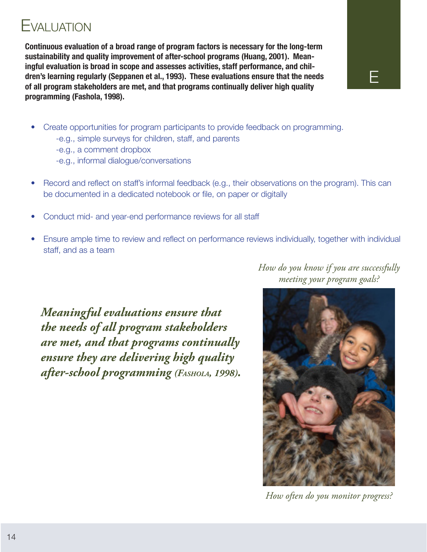# Evaluation

**Continuous evaluation of a broad range of program factors is necessary for the long-term sustainability and quality improvement of after-school programs (Huang, 2001). Meaningful evaluation is broad in scope and assesses activities, staff performance, and children's learning regularly (Seppanen et al., 1993). These evaluations ensure that the needs of all program stakeholders are met, and that programs continually deliver high quality programming (Fashola, 1998).** 

- Create opportunities for program participants to provide feedback on programming.
	- -e.g., simple surveys for children, staff, and parents
	- -e.g., a comment dropbox
	- -e.g., informal dialogue/conversations
- Record and reflect on staff's informal feedback (e.g., their observations on the program). This can be documented in a dedicated notebook or file, on paper or digitally
- Conduct mid- and year-end performance reviews for all staff
- Ensure ample time to review and reflect on performance reviews individually, together with individual staff, and as a team

*Meaningful evaluations ensure that the needs of all program stakeholders are met, and that programs continually ensure they are delivering high quality after-school programming (Fashola, 1998).* *How do you know if you are successfully meeting your program goals?*

E



*How often do you monitor progress?*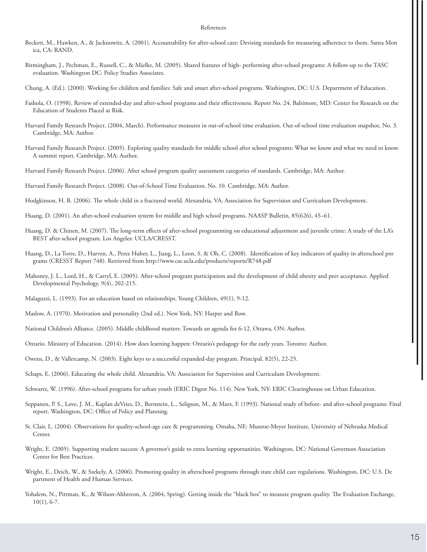#### References

- Beckett, M., Hawken, A., & Jacknowitz, A. (2001). Accountability for after-school care: Devising standards for measuring adherence to them. Santa Mon ica, CA: RAND.
- Birmingham, J., Pechman, E., Russell, C., & Mielke, M. (2005). Shared features of high- performing after-school programs: A follow-up to the TASC evaluation. Washington DC: Policy Studies Associates.
- Chung, A. (Ed.). (2000). Working for children and families: Safe and smart after-school programs. Washington, DC: U.S. Department of Education.
- Fashola, O. (1998). Review of extended-day and after-school programs and their effectiveness. Report No. 24. Baltimore, MD: Center for Research on the Education of Students Placed at Risk.
- Harvard Family Research Project. (2004, March). Performance measures in out-of-school time evaluation. Out-of-school time evaluation snapshot, No. 3. Cambridge, MA: Author.
- Harvard Family Research Project. (2005). Exploring quality standards for middle school after school programs: What we know and what we need to know. A summit report. Cambridge, MA: Author.
- Harvard Family Research Project. (2006). After school program quality assessment categories of standards. Cambridge, MA: Author.
- Harvard Family Research Project. (2008). Out-of-School Time Evaluation, No. 10. Cambridge, MA: Author.
- Hodgkinson, H. B. (2006). The whole child in a fractured world. Alexandria, VA: Association for Supervision and Curriculum Development.
- Huang, D. (2001). An after-school evaluation system for middle and high school programs. NAASP Bulletin, 85(626), 45–61.
- Huang, D. & Chinen, M. (2007). The long-term effects of after-school programming on educational adjustment and juvenile crime: A study of the LA's BEST after-school program. Los Angeles: UCLA/CRESST.
- Huang, D., La Torre, D., Harven, A., Perez Huber, L., Jiang, L., Leon, S. & Oh, C. (2008). Identification of key indicators of quality in afterschool pro grams (CRESST Report 748). Retrieved from http://www.cse.ucla.edu/products/reports/R748.pdf
- Mahoney, J. L., Lord, H., & Carryl, E. (2005). After-school program participation and the development of child obesity and peer acceptance. Applied Developmental Psychology, 9(4), 202-215.
- Malaguzzi, L. (1993). For an education based on relationships. Young Children, 49(1), 9-12.
- Maslow, A. (1970). Motivation and personality (2nd ed.). New York, NY: Harper and Row.
- National Children's Alliance. (2005). Middle childhood matters: Towards an agenda for 6-12. Ottawa, ON: Author.
- Ontario. Ministry of Education. (2014). How does learning happen: Ontario's pedagogy for the early years. Toronto: Author.
- Owens, D., & Vallercamp, N. (2003). Eight keys to a successful expanded-day program. Principal, 82(5), 22-25.
- Schaps, E. (2006). Educating the whole child. Alexandria, VA: Association for Supervision and Curriculum Development.
- Schwartz, W. (1996). After-school programs for urban youth (ERIC Digest No. 114). New York, NY: ERIC Clearinghouse on Urban Education.
- Seppanen, P. S., Love, J. M., Kaplan deVries, D., Bernstein, L., Seligson, M., & Marx, F. (1993). National study of before- and after-school programs: Final report. Washington, DC: Office of Policy and Planning.
- St. Clair, L. (2004). Observations for quality-school-age care & programming. Omaha, NE: Munroe-Meyer Institute, University of Nebraska Medical Center.
- Wright, E. (2005). Supporting student success: A governor's guide to extra learning opportunities. Washington, DC: National Governors Association Center for Best Practices.
- Wright, E., Deich, W., & Szekely, A. (2006). Promoting quality in afterschool programs through state child care regulations. Washington, DC: U.S. De partment of Health and Human Services.
- Yohalem, N., Pittman, K., & Wilson-Ahlstrom, A. (2004, Spring). Getting inside the "black box" to measure program quality. The Evaluation Exchange, 10(1), 6-7.